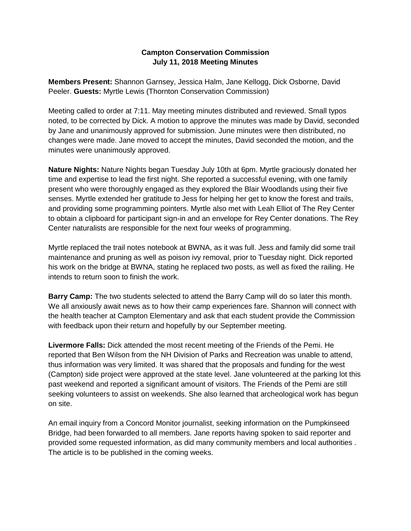## **Campton Conservation Commission July 11, 2018 Meeting Minutes**

**Members Present:** Shannon Garnsey, Jessica Halm, Jane Kellogg, Dick Osborne, David Peeler. **Guests:** Myrtle Lewis (Thornton Conservation Commission)

Meeting called to order at 7:11. May meeting minutes distributed and reviewed. Small typos noted, to be corrected by Dick. A motion to approve the minutes was made by David, seconded by Jane and unanimously approved for submission. June minutes were then distributed, no changes were made. Jane moved to accept the minutes, David seconded the motion, and the minutes were unanimously approved.

**Nature Nights:** Nature Nights began Tuesday July 10th at 6pm. Myrtle graciously donated her time and expertise to lead the first night. She reported a successful evening, with one family present who were thoroughly engaged as they explored the Blair Woodlands using their five senses. Myrtle extended her gratitude to Jess for helping her get to know the forest and trails, and providing some programming pointers. Myrtle also met with Leah Elliot of The Rey Center to obtain a clipboard for participant sign-in and an envelope for Rey Center donations. The Rey Center naturalists are responsible for the next four weeks of programming.

Myrtle replaced the trail notes notebook at BWNA, as it was full. Jess and family did some trail maintenance and pruning as well as poison ivy removal, prior to Tuesday night. Dick reported his work on the bridge at BWNA, stating he replaced two posts, as well as fixed the railing. He intends to return soon to finish the work.

**Barry Camp:** The two students selected to attend the Barry Camp will do so later this month. We all anxiously await news as to how their camp experiences fare. Shannon will connect with the health teacher at Campton Elementary and ask that each student provide the Commission with feedback upon their return and hopefully by our September meeting.

**Livermore Falls:** Dick attended the most recent meeting of the Friends of the Pemi. He reported that Ben Wilson from the NH Division of Parks and Recreation was unable to attend, thus information was very limited. It was shared that the proposals and funding for the west (Campton) side project were approved at the state level. Jane volunteered at the parking lot this past weekend and reported a significant amount of visitors. The Friends of the Pemi are still seeking volunteers to assist on weekends. She also learned that archeological work has begun on site.

An email inquiry from a Concord Monitor journalist, seeking information on the Pumpkinseed Bridge, had been forwarded to all members. Jane reports having spoken to said reporter and provided some requested information, as did many community members and local authorities . The article is to be published in the coming weeks.